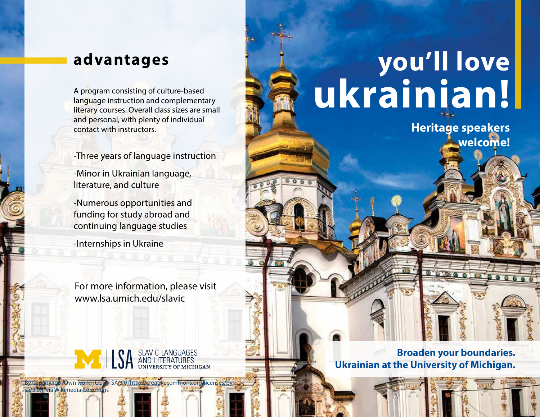language instruction and complementary literary courses. Overall class sizes are small and personal, with plenty of individual contact with instructors.

-Three years of language instruction

-Minor in Ukrainian language, literature, and culture

-Numerous opportunities and funding for study abroad and continuing language studies

-Internships in Ukraine

By Сарапулов (Own work) [CC BY-SA 3.0 (http://creativecommons.c

sa/3.0)], via Wikimedia Commons

For more information, please visit www.lsa.umich.edu/slavic

SLAVIC LANGUAGES<br>AND LITERATURES

## **advantages you'll love** A program consisting of culture-based<br>language instruction and complementary<br>literary courses. Overall class sizes are small

**Heritage speakers welcome!**

000000

 $99999$ 

**Broaden your boundaries. Ukrainian at the University of Michigan.**